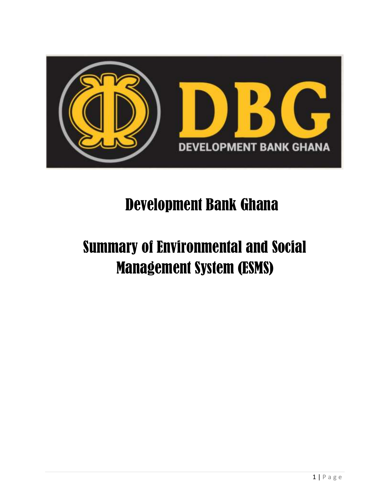

# Development Bank Ghana

# Summary of Environmental and Social Management System (ESMS)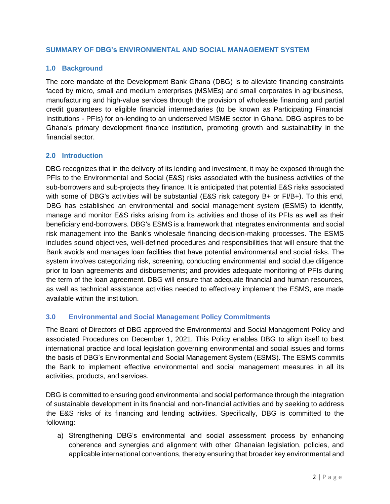#### **SUMMARY OF DBG's ENVIRONMENTAL AND SOCIAL MANAGEMENT SYSTEM**

# **1.0 Background**

The core mandate of the Development Bank Ghana (DBG) is to alleviate financing constraints faced by micro, small and medium enterprises (MSMEs) and small corporates in agribusiness, manufacturing and high-value services through the provision of wholesale financing and partial credit guarantees to eligible financial intermediaries (to be known as Participating Financial Institutions - PFIs) for on-lending to an underserved MSME sector in Ghana. DBG aspires to be Ghana's primary development finance institution, promoting growth and sustainability in the financial sector.

#### **2.0 Introduction**

DBG recognizes that in the delivery of its lending and investment, it may be exposed through the PFIs to the Environmental and Social (E&S) risks associated with the business activities of the sub-borrowers and sub-projects they finance. It is anticipated that potential E&S risks associated with some of DBG's activities will be substantial (E&S risk category B+ or FI/B+). To this end, DBG has established an environmental and social management system (ESMS) to identify, manage and monitor E&S risks arising from its activities and those of its PFIs as well as their beneficiary end-borrowers. DBG's ESMS is a framework that integrates environmental and social risk management into the Bank's wholesale financing decision-making processes. The ESMS includes sound objectives, well-defined procedures and responsibilities that will ensure that the Bank avoids and manages loan facilities that have potential environmental and social risks. The system involves categorizing risk, screening, conducting environmental and social due diligence prior to loan agreements and disbursements; and provides adequate monitoring of PFIs during the term of the loan agreement. DBG will ensure that adequate financial and human resources, as well as technical assistance activities needed to effectively implement the ESMS, are made available within the institution.

# **3.0 Environmental and Social Management Policy Commitments**

The Board of Directors of DBG approved the Environmental and Social Management Policy and associated Procedures on December 1, 2021. This Policy enables DBG to align itself to best international practice and local legislation governing environmental and social issues and forms the basis of DBG's Environmental and Social Management System (ESMS). The ESMS commits the Bank to implement effective environmental and social management measures in all its activities, products, and services.

DBG is committed to ensuring good environmental and social performance through the integration of sustainable development in its financial and non-financial activities and by seeking to address the E&S risks of its financing and lending activities. Specifically, DBG is committed to the following:

a) Strengthening DBG's environmental and social assessment process by enhancing coherence and synergies and alignment with other Ghanaian legislation, policies, and applicable international conventions, thereby ensuring that broader key environmental and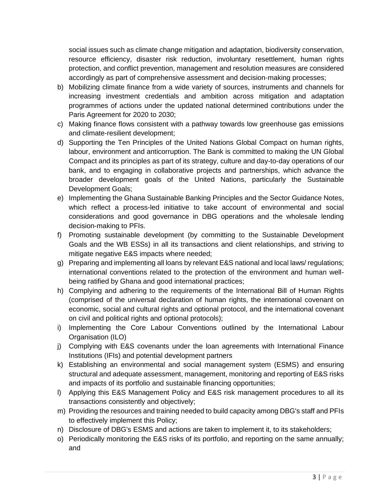social issues such as climate change mitigation and adaptation, biodiversity conservation, resource efficiency, disaster risk reduction, involuntary resettlement, human rights protection, and conflict prevention, management and resolution measures are considered accordingly as part of comprehensive assessment and decision-making processes;

- b) Mobilizing climate finance from a wide variety of sources, instruments and channels for increasing investment credentials and ambition across mitigation and adaptation programmes of actions under the updated national determined contributions under the Paris Agreement for 2020 to 2030;
- c) Making finance flows consistent with a pathway towards low greenhouse gas emissions and climate-resilient development;
- d) Supporting the Ten Principles of the United Nations Global Compact on human rights, labour, environment and anticorruption. The Bank is committed to making the UN Global Compact and its principles as part of its strategy, culture and day-to-day operations of our bank, and to engaging in collaborative projects and partnerships, which advance the broader development goals of the United Nations, particularly the Sustainable Development Goals;
- e) Implementing the Ghana Sustainable Banking Principles and the Sector Guidance Notes, which reflect a process-led initiative to take account of environmental and social considerations and good governance in DBG operations and the wholesale lending decision-making to PFIs.
- f) Promoting sustainable development (by committing to the Sustainable Development Goals and the WB ESSs) in all its transactions and client relationships, and striving to mitigate negative E&S impacts where needed;
- g) Preparing and implementing all loans by relevant E&S national and local laws/ regulations; international conventions related to the protection of the environment and human wellbeing ratified by Ghana and good international practices;
- h) Complying and adhering to the requirements of the International Bill of Human Rights (comprised of the universal declaration of human rights, the international covenant on economic, social and cultural rights and optional protocol, and the international covenant on civil and political rights and optional protocols);
- i) Implementing the Core Labour Conventions outlined by the International Labour Organisation (ILO)
- j) Complying with E&S covenants under the loan agreements with International Finance Institutions (IFIs) and potential development partners
- k) Establishing an environmental and social management system (ESMS) and ensuring structural and adequate assessment, management, monitoring and reporting of E&S risks and impacts of its portfolio and sustainable financing opportunities;
- l) Applying this E&S Management Policy and E&S risk management procedures to all its transactions consistently and objectively;
- m) Providing the resources and training needed to build capacity among DBG's staff and PFIs to effectively implement this Policy;
- n) Disclosure of DBG's ESMS and actions are taken to implement it, to its stakeholders;
- o) Periodically monitoring the E&S risks of its portfolio, and reporting on the same annually; and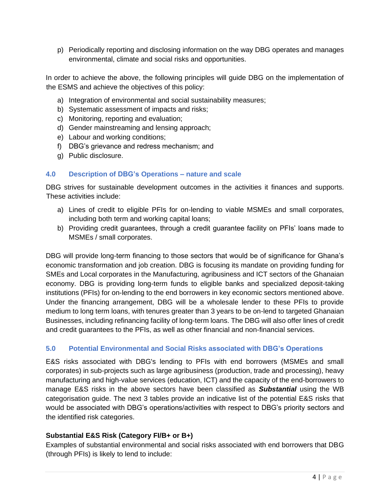p) Periodically reporting and disclosing information on the way DBG operates and manages environmental, climate and social risks and opportunities.

In order to achieve the above, the following principles will guide DBG on the implementation of the ESMS and achieve the objectives of this policy:

- a) Integration of environmental and social sustainability measures;
- b) Systematic assessment of impacts and risks;
- c) Monitoring, reporting and evaluation;
- d) Gender mainstreaming and lensing approach;
- e) Labour and working conditions;
- f) DBG's grievance and redress mechanism; and
- g) Public disclosure.

#### **4.0 Description of DBG's Operations – nature and scale**

DBG strives for sustainable development outcomes in the activities it finances and supports. These activities include:

- a) Lines of credit to eligible PFIs for on-lending to viable MSMEs and small corporates, including both term and working capital loans;
- b) Providing credit guarantees, through a credit guarantee facility on PFIs' loans made to MSMEs / small corporates.

DBG will provide long-term financing to those sectors that would be of significance for Ghana's economic transformation and job creation. DBG is focusing its mandate on providing funding for SMEs and Local corporates in the Manufacturing, agribusiness and ICT sectors of the Ghanaian economy. DBG is providing long-term funds to eligible banks and specialized deposit-taking institutions (PFIs) for on-lending to the end borrowers in key economic sectors mentioned above. Under the financing arrangement, DBG will be a wholesale lender to these PFIs to provide medium to long term loans, with tenures greater than 3 years to be on-lend to targeted Ghanaian Businesses, including refinancing facility of long-term loans. The DBG will also offer lines of credit and credit guarantees to the PFIs, as well as other financial and non-financial services.

# **5.0 Potential Environmental and Social Risks associated with DBG's Operations**

E&S risks associated with DBG's lending to PFIs with end borrowers (MSMEs and small corporates) in sub-projects such as large agribusiness (production, trade and processing), heavy manufacturing and high-value services (education, ICT) and the capacity of the end-borrowers to manage E&S risks in the above sectors have been classified as *Substantial* using the WB categorisation guide. The next 3 tables provide an indicative list of the potential E&S risks that would be associated with DBG's operations/activities with respect to DBG's priority sectors and the identified risk categories.

#### **Substantial E&S Risk (Category FI/B+ or B+)**

Examples of substantial environmental and social risks associated with end borrowers that DBG (through PFIs) is likely to lend to include: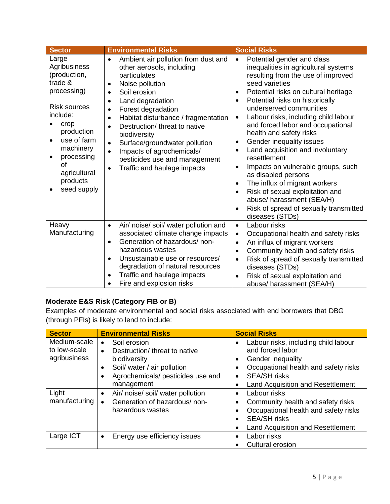| <b>Sector</b>                                                                                                                                                                                                                           | <b>Environmental Risks</b>                                                                                                                                                                                                                                                                                                                                                                                                                           | <b>Social Risks</b>                                                                                                                                                                                                                                                                                                                                                                                                                                                                                                                                                                                                                                                                                                                    |
|-----------------------------------------------------------------------------------------------------------------------------------------------------------------------------------------------------------------------------------------|------------------------------------------------------------------------------------------------------------------------------------------------------------------------------------------------------------------------------------------------------------------------------------------------------------------------------------------------------------------------------------------------------------------------------------------------------|----------------------------------------------------------------------------------------------------------------------------------------------------------------------------------------------------------------------------------------------------------------------------------------------------------------------------------------------------------------------------------------------------------------------------------------------------------------------------------------------------------------------------------------------------------------------------------------------------------------------------------------------------------------------------------------------------------------------------------------|
| Large<br>Agribusiness<br>(production,<br>trade &<br>processing)<br><b>Risk sources</b><br>include:<br>crop<br>production<br>use of farm<br>machinery<br>processing<br><b>of</b><br>agricultural<br>products<br>seed supply<br>$\bullet$ | Ambient air pollution from dust and<br>$\bullet$<br>other aerosols, including<br>particulates<br>Noise pollution<br>Soil erosion<br>$\bullet$<br>Land degradation<br>Forest degradation<br>Habitat disturbance / fragmentation<br>$\bullet$<br>Destruction/ threat to native<br>biodiversity<br>Surface/groundwater pollution<br>$\bullet$<br>Impacts of agrochemicals/<br>pesticides use and management<br>Traffic and haulage impacts<br>$\bullet$ | Potential gender and class<br>$\bullet$<br>inequalities in agricultural systems<br>resulting from the use of improved<br>seed varieties<br>Potential risks on cultural heritage<br>$\bullet$<br>Potential risks on historically<br>underserved communities<br>Labour risks, including child labour<br>$\bullet$<br>and forced labor and occupational<br>health and safety risks<br>Gender inequality issues<br>$\bullet$<br>Land acquisition and involuntary<br>٠<br>resettlement<br>Impacts on vulnerable groups, such<br>$\bullet$<br>as disabled persons<br>The influx of migrant workers<br>$\bullet$<br>Risk of sexual exploitation and<br>abuse/ harassment (SEA/H)<br>Risk of spread of sexually transmitted<br>diseases (STDs) |
| Heavy<br>Manufacturing                                                                                                                                                                                                                  | Air/ noise/ soil/ water pollution and<br>$\bullet$<br>associated climate change impacts<br>Generation of hazardous/non-<br>$\bullet$<br>hazardous wastes<br>Unsustainable use or resources/<br>$\bullet$<br>degradation of natural resources<br>Traffic and haulage impacts<br>$\bullet$<br>Fire and explosion risks                                                                                                                                 | Labour risks<br>$\bullet$<br>Occupational health and safety risks<br>$\bullet$<br>An influx of migrant workers<br>$\bullet$<br>Community health and safety risks<br>$\bullet$<br>Risk of spread of sexually transmitted<br>$\bullet$<br>diseases (STDs)<br>Risk of sexual exploitation and<br>$\bullet$<br>abuse/ harassment (SEA/H)                                                                                                                                                                                                                                                                                                                                                                                                   |

# **Moderate E&S Risk (Category FIB or B)**

Examples of moderate environmental and social risks associated with end borrowers that DBG (through PFIs) is likely to lend to include:

| <b>Sector</b>                | <b>Environmental Risks</b>                                              | <b>Social Risks</b>                                      |
|------------------------------|-------------------------------------------------------------------------|----------------------------------------------------------|
| Medium-scale<br>to low-scale | Soil erosion<br>$\bullet$<br>Destruction/ threat to native<br>$\bullet$ | Labour risks, including child labour<br>and forced labor |
| agribusiness                 | biodiversity                                                            | Gender inequality<br>٠                                   |
|                              | Soil/ water / air pollution<br>$\bullet$                                | Occupational health and safety risks                     |
|                              | Agrochemicals/ pesticides use and                                       | <b>SEA/SH risks</b><br>$\bullet$                         |
|                              | management                                                              | Land Acquisition and Resettlement                        |
| Light                        | Air/ noise/ soil/ water pollution<br>$\bullet$                          | Labour risks                                             |
| manufacturing                | Generation of hazardous/non-                                            | Community health and safety risks                        |
|                              | hazardous wastes                                                        | Occupational health and safety risks                     |
|                              |                                                                         | <b>SEA/SH risks</b>                                      |
|                              |                                                                         | <b>Land Acquisition and Resettlement</b>                 |
| Large ICT                    | Energy use efficiency issues<br>$\bullet$                               | Labor risks                                              |
|                              |                                                                         | <b>Cultural erosion</b>                                  |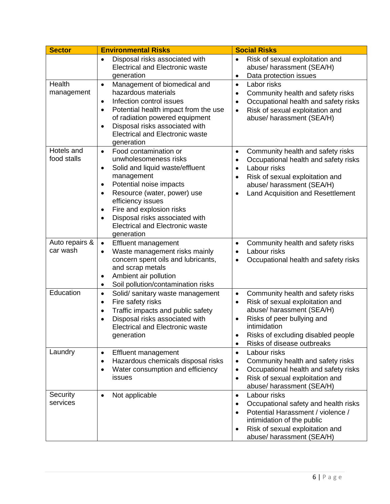| <b>Sector</b>              | <b>Environmental Risks</b>                                                                                                                                                                                                                                                                                                                                         | <b>Social Risks</b>                                                                                                                                                                                                                                                                  |
|----------------------------|--------------------------------------------------------------------------------------------------------------------------------------------------------------------------------------------------------------------------------------------------------------------------------------------------------------------------------------------------------------------|--------------------------------------------------------------------------------------------------------------------------------------------------------------------------------------------------------------------------------------------------------------------------------------|
|                            | Disposal risks associated with<br><b>Electrical and Electronic waste</b><br>generation                                                                                                                                                                                                                                                                             | Risk of sexual exploitation and<br>$\bullet$<br>abuse/ harassment (SEA/H)<br>Data protection issues<br>$\bullet$                                                                                                                                                                     |
| Health<br>management       | Management of biomedical and<br>$\bullet$<br>hazardous materials<br>Infection control issues<br>$\bullet$<br>Potential health impact from the use<br>$\bullet$<br>of radiation powered equipment<br>Disposal risks associated with<br>$\bullet$<br><b>Electrical and Electronic waste</b><br>generation                                                            | Labor risks<br>$\bullet$<br>Community health and safety risks<br>$\bullet$<br>Occupational health and safety risks<br>$\bullet$<br>Risk of sexual exploitation and<br>$\bullet$<br>abuse/ harassment (SEA/H)                                                                         |
| Hotels and<br>food stalls  | Food contamination or<br>$\bullet$<br>unwholesomeness risks<br>Solid and liquid waste/effluent<br>٠<br>management<br>Potential noise impacts<br>$\bullet$<br>Resource (water, power) use<br>٠<br>efficiency issues<br>Fire and explosion risks<br>$\bullet$<br>Disposal risks associated with<br>$\bullet$<br><b>Electrical and Electronic waste</b><br>generation | Community health and safety risks<br>$\bullet$<br>Occupational health and safety risks<br>$\bullet$<br>Labour risks<br>$\bullet$<br>Risk of sexual exploitation and<br>$\bullet$<br>abuse/ harassment (SEA/H)<br>Land Acquisition and Resettlement<br>$\bullet$                      |
| Auto repairs &<br>car wash | <b>Effluent management</b><br>$\bullet$<br>Waste management risks mainly<br>$\bullet$<br>concern spent oils and lubricants,<br>and scrap metals<br>Ambient air pollution<br>$\bullet$<br>Soil pollution/contamination risks<br>$\bullet$                                                                                                                           | Community health and safety risks<br>$\bullet$<br>Labour risks<br>$\bullet$<br>Occupational health and safety risks<br>$\bullet$                                                                                                                                                     |
| Education                  | Solid/ sanitary waste management<br>$\bullet$<br>Fire safety risks<br>$\bullet$<br>Traffic impacts and public safety<br>$\bullet$<br>Disposal risks associated with<br>$\bullet$<br><b>Electrical and Electronic waste</b><br>generation                                                                                                                           | Community health and safety risks<br>$\bullet$<br>Risk of sexual exploitation and<br>$\bullet$<br>abuse/ harassment (SEA/H)<br>Risks of peer bullying and<br>$\bullet$<br>intimidation<br>Risks of excluding disabled people<br>$\bullet$<br>Risks of disease outbreaks<br>$\bullet$ |
| Laundry                    | Effluent management<br>$\bullet$<br>Hazardous chemicals disposal risks<br>$\bullet$<br>Water consumption and efficiency<br>$\bullet$<br>issues                                                                                                                                                                                                                     | Labour risks<br>$\bullet$<br>Community health and safety risks<br>$\bullet$<br>Occupational health and safety risks<br>$\bullet$<br>Risk of sexual exploitation and<br>$\bullet$<br>abuse/ harassment (SEA/H)                                                                        |
| Security<br>services       | Not applicable<br>$\bullet$                                                                                                                                                                                                                                                                                                                                        | Labour risks<br>$\bullet$<br>Occupational safety and health risks<br>$\bullet$<br>Potential Harassment / violence /<br>$\bullet$<br>intimidation of the public<br>Risk of sexual exploitation and<br>$\bullet$<br>abuse/ harassment (SEA/H)                                          |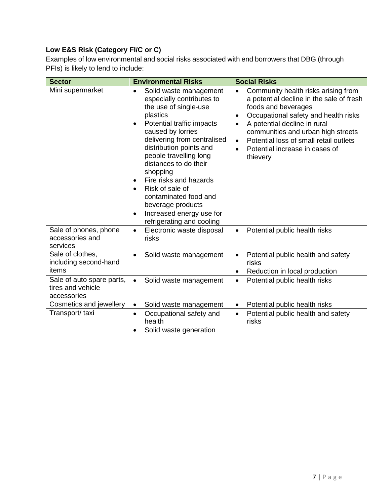# **Low E&S Risk (Category FI/C or C)**

Examples of low environmental and social risks associated with end borrowers that DBG (through PFIs) is likely to lend to include:

| <b>Sector</b>                                                 | <b>Environmental Risks</b>                                                                                                                                                                                                                                                                                                                                                                                                                                                               | <b>Social Risks</b>                                                                                                                                                                                                                                                                                                                                                           |
|---------------------------------------------------------------|------------------------------------------------------------------------------------------------------------------------------------------------------------------------------------------------------------------------------------------------------------------------------------------------------------------------------------------------------------------------------------------------------------------------------------------------------------------------------------------|-------------------------------------------------------------------------------------------------------------------------------------------------------------------------------------------------------------------------------------------------------------------------------------------------------------------------------------------------------------------------------|
| Mini supermarket                                              | Solid waste management<br>$\bullet$<br>especially contributes to<br>the use of single-use<br>plastics<br>Potential traffic impacts<br>$\bullet$<br>caused by lorries<br>delivering from centralised<br>distribution points and<br>people travelling long<br>distances to do their<br>shopping<br>Fire risks and hazards<br>$\bullet$<br>Risk of sale of<br>$\bullet$<br>contaminated food and<br>beverage products<br>Increased energy use for<br>$\bullet$<br>refrigerating and cooling | Community health risks arising from<br>$\bullet$<br>a potential decline in the sale of fresh<br>foods and beverages<br>Occupational safety and health risks<br>$\bullet$<br>A potential decline in rural<br>$\bullet$<br>communities and urban high streets<br>Potential loss of small retail outlets<br>$\bullet$<br>Potential increase in cases of<br>$\bullet$<br>thievery |
| Sale of phones, phone<br>accessories and<br>services          | Electronic waste disposal<br>$\bullet$<br>risks                                                                                                                                                                                                                                                                                                                                                                                                                                          | Potential public health risks<br>$\bullet$                                                                                                                                                                                                                                                                                                                                    |
| Sale of clothes,<br>including second-hand<br>items            | Solid waste management<br>$\bullet$                                                                                                                                                                                                                                                                                                                                                                                                                                                      | Potential public health and safety<br>$\bullet$<br>risks<br>Reduction in local production<br>$\bullet$                                                                                                                                                                                                                                                                        |
| Sale of auto spare parts,<br>tires and vehicle<br>accessories | Solid waste management<br>$\bullet$                                                                                                                                                                                                                                                                                                                                                                                                                                                      | Potential public health risks<br>$\bullet$                                                                                                                                                                                                                                                                                                                                    |
| Cosmetics and jewellery                                       | Solid waste management<br>$\bullet$                                                                                                                                                                                                                                                                                                                                                                                                                                                      | Potential public health risks<br>$\bullet$                                                                                                                                                                                                                                                                                                                                    |
| Transport/taxi                                                | Occupational safety and<br>$\bullet$<br>health<br>Solid waste generation                                                                                                                                                                                                                                                                                                                                                                                                                 | Potential public health and safety<br>$\bullet$<br>risks                                                                                                                                                                                                                                                                                                                      |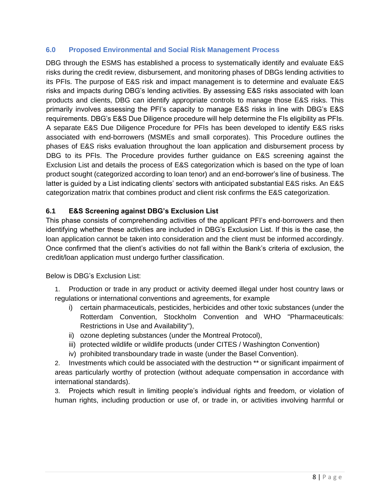#### **6.0 Proposed Environmental and Social Risk Management Process**

DBG through the ESMS has established a process to systematically identify and evaluate E&S risks during the credit review, disbursement, and monitoring phases of DBGs lending activities to its PFIs. The purpose of E&S risk and impact management is to determine and evaluate E&S risks and impacts during DBG's lending activities. By assessing E&S risks associated with loan products and clients, DBG can identify appropriate controls to manage those E&S risks. This primarily involves assessing the PFI's capacity to manage E&S risks in line with DBG's E&S requirements. DBG's E&S Due Diligence procedure will help determine the FIs eligibility as PFIs. A separate E&S Due Diligence Procedure for PFIs has been developed to identify E&S risks associated with end-borrowers (MSMEs and small corporates). This Procedure outlines the phases of E&S risks evaluation throughout the loan application and disbursement process by DBG to its PFIs. The Procedure provides further guidance on E&S screening against the Exclusion List and details the process of E&S categorization which is based on the type of loan product sought (categorized according to loan tenor) and an end-borrower's line of business. The latter is guided by a List indicating clients' sectors with anticipated substantial E&S risks. An E&S categorization matrix that combines product and client risk confirms the E&S categorization.

# **6.1 E&S Screening against DBG's Exclusion List**

This phase consists of comprehending activities of the applicant PFI's end-borrowers and then identifying whether these activities are included in DBG's Exclusion List. If this is the case, the loan application cannot be taken into consideration and the client must be informed accordingly. Once confirmed that the client's activities do not fall within the Bank's criteria of exclusion, the credit/loan application must undergo further classification.

Below is DBG's Exclusion List:

- 1. Production or trade in any product or activity deemed illegal under host country laws or regulations or international conventions and agreements, for example
	- i) certain pharmaceuticals, pesticides, herbicides and other toxic substances (under the Rotterdam Convention, Stockholm Convention and WHO "Pharmaceuticals: Restrictions in Use and Availability"),
	- ii) ozone depleting substances (under the Montreal Protocol),
	- iii) protected wildlife or wildlife products (under CITES / Washington Convention)
	- iv) prohibited transboundary trade in waste (under the Basel Convention).

2. Investments which could be associated with the destruction \*\* or significant impairment of areas particularly worthy of protection (without adequate compensation in accordance with international standards).

3. Projects which result in limiting people's individual rights and freedom, or violation of human rights, including production or use of, or trade in, or activities involving harmful or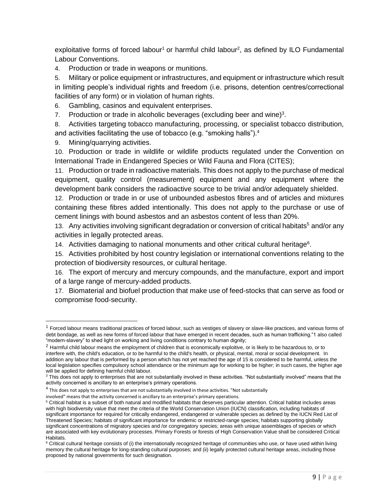exploitative forms of forced labour<sup>1</sup> or harmful child labour<sup>2</sup>, as defined by ILO Fundamental Labour Conventions.

4. Production or trade in weapons or munitions.

5. Military or police equipment or infrastructures, and equipment or infrastructure which result in limiting people's individual rights and freedom (i.e. prisons, detention centres/correctional facilities of any form) or in violation of human rights.

6. Gambling, casinos and equivalent enterprises.

7. Production or trade in alcoholic beverages (excluding beer and wine) $3$ .

8. Activities targeting tobacco manufacturing, processing, or specialist tobacco distribution, and activities facilitating the use of tobacco (e.g. "smoking halls").<sup>4</sup>

9. Mining/quarrying activities.

10. Production or trade in wildlife or wildlife products regulated under the Convention on International Trade in Endangered Species or Wild Fauna and Flora (CITES);

11. Production or trade in radioactive materials. This does not apply to the purchase of medical equipment, quality control (measurement) equipment and any equipment where the development bank considers the radioactive source to be trivial and/or adequately shielded.

12. Production or trade in or use of unbounded asbestos fibres and of articles and mixtures containing these fibres added intentionally. This does not apply to the purchase or use of cement linings with bound asbestos and an asbestos content of less than 20%.

13. Any activities involving significant degradation or conversion of critical habitats<sup>5</sup> and/or any activities in legally protected areas.

14. Activities damaging to national monuments and other critical cultural heritage<sup>6</sup>.

15. Activities prohibited by host country legislation or international conventions relating to the protection of biodiversity resources, or cultural heritage.

16. The export of mercury and mercury compounds, and the manufacture, export and import of a large range of mercury-added products.

17. Biomaterial and biofuel production that make use of feed-stocks that can serve as food or compromise food-security.

involved" means that the activity concerned is ancillary to an enterprise's primary operations.

 $<sup>1</sup>$  Forced labour means traditional practices of forced labour, such as vestiges of slavery or slave-like practices, and various forms of</sup> debt bondage, as well as new forms of forced labour that have emerged in recent decades, such as human trafficking."1 also called "modern-slavery" to shed light on working and living conditions contrary to human dignity;

<sup>2</sup> Harmful child labour means the employment of children that is economically exploitive, or is likely to be hazardous to, or to interfere with, the child's education, or to be harmful to the child's health, or physical, mental, moral or social development. In addition any labour that is performed by a person which has not yet reached the age of 15 is considered to be harmful, unless the local legislation specifies compulsory school attendance or the minimum age for working to be higher; in such cases, the higher age will be applied for defining harmful child labour.

<sup>&</sup>lt;sup>3</sup> This does not apply to enterprises that are not substantially involved in these activities. "Not substantially involved" means that the activity concerned is ancillary to an enterprise's primary operations.

 $^4$  This does not apply to enterprises that are not substantially involved in these activities. "Not substantially

<sup>&</sup>lt;sup>5</sup> Critical habitat is a subset of both natural and modified habitats that deserves particular attention. Critical habitat includes areas with high biodiversity value that meet the criteria of the World Conservation Union (IUCN) classification, including habitats of significant importance for required for critically endangered, endangered or vulnerable species as defined by the IUCN Red List of Threatened Species; habitats of significant importance for endemic or restricted-range species; habitats supporting globally significant concentrations of migratory species and /or congregatory species; areas with unique assemblages of species or which are associated with key evolutionary processes. Primary Forests or forests of High Conservation Value shall be considered Critical Habitats.

<sup>&</sup>lt;sup>6</sup> Critical cultural heritage consists of (i) the internationally recognized heritage of communities who use, or have used within living memory the cultural heritage for long-standing cultural purposes; and (ii) legally protected cultural heritage areas, including those proposed by national governments for such designation.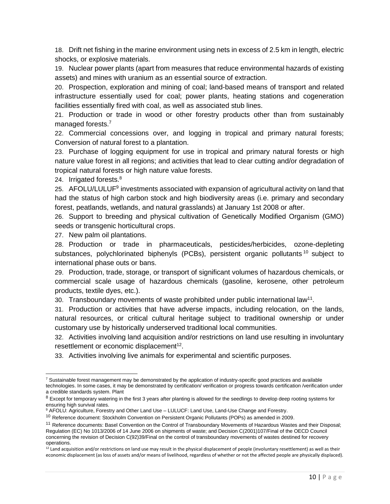18. Drift net fishing in the marine environment using nets in excess of 2.5 km in length, electric shocks, or explosive materials.

19. Nuclear power plants (apart from measures that reduce environmental hazards of existing assets) and mines with uranium as an essential source of extraction.

20. Prospection, exploration and mining of coal; land-based means of transport and related infrastructure essentially used for coal; power plants, heating stations and cogeneration facilities essentially fired with coal, as well as associated stub lines.

21. Production or trade in wood or other forestry products other than from sustainably managed forests.<sup>7</sup>

22. Commercial concessions over, and logging in tropical and primary natural forests; Conversion of natural forest to a plantation.

23. Purchase of logging equipment for use in tropical and primary natural forests or high nature value forest in all regions; and activities that lead to clear cutting and/or degradation of tropical natural forests or high nature value forests.

24. Irrigated forests.<sup>8</sup>

25. AFOLU/LULUF<sup>9</sup> investments associated with expansion of agricultural activity on land that had the status of high carbon stock and high biodiversity areas (i.e. primary and secondary forest, peatlands, wetlands, and natural grasslands) at January 1st 2008 or after.

26. Support to breeding and physical cultivation of Genetically Modified Organism (GMO) seeds or transgenic horticultural crops.

27. New palm oil plantations.

28. Production or trade in pharmaceuticals, pesticides/herbicides, ozone-depleting substances, polychlorinated biphenyls (PCBs), persistent organic pollutants<sup>10</sup> subject to international phase outs or bans.

29. Production, trade, storage, or transport of significant volumes of hazardous chemicals, or commercial scale usage of hazardous chemicals (gasoline, kerosene, other petroleum products, textile dyes, etc.).

30. Transboundary movements of waste prohibited under public international law<sup>11</sup>.

31. Production or activities that have adverse impacts, including relocation, on the lands, natural resources, or critical cultural heritage subject to traditional ownership or under customary use by historically underserved traditional local communities.

32. Activities involving land acquisition and/or restrictions on land use resulting in involuntary resettlement or economic displacement $12$ .

33. Activities involving live animals for experimental and scientific purposes.

 $^7$  Sustainable forest management may be demonstrated by the application of industry-specific good practices and available technologies. In some cases, it may be demonstrated by certification/ verification or progress towards certification /verification under a credible standards system. Plant

<sup>&</sup>lt;sup>8</sup> Except for temporary watering in the first 3 years after planting is allowed for the seedlings to develop deep rooting systems for ensuring high survival rates.

<sup>9</sup> AFOLU: Agriculture, Forestry and Other Land Use – LULUCF: Land Use, Land-Use Change and Forestry.

<sup>&</sup>lt;sup>10</sup> Reference document: Stockholm Convention on Persistent Organic Pollutants (POPs) as amended in 2009.

<sup>&</sup>lt;sup>11</sup> Reference documents: Basel Convention on the Control of Transboundary Movements of Hazardous Wastes and their Disposal; Regulation (EC) No 1013/2006 of 14 June 2006 on shipments of waste; and Decision C(2001)107/Final of the OECD Council concerning the revision of Decision C(92)39/Final on the control of transboundary movements of wastes destined for recovery operations.

 $12$  Land acquisition and/or restrictions on land use may result in the physical displacement of people (involuntary resettlement) as well as their economic displacement (as loss of assets and/or means of livelihood, regardless of whether or not the affected people are physically displaced).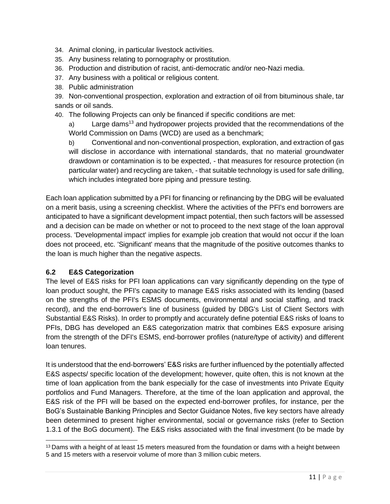- 34. Animal cloning, in particular livestock activities.
- 35. Any business relating to pornography or prostitution.
- 36. Production and distribution of racist, anti-democratic and/or neo-Nazi media.
- 37. Any business with a political or religious content.
- 38. Public administration

39. Non-conventional prospection, exploration and extraction of oil from bituminous shale, tar sands or oil sands.

40. The following Projects can only be financed if specific conditions are met:

a) Large dams<sup>13</sup> *a*nd hydropower projects provided that the recommendations of the World Commission on Dams (WCD) are used as a benchmark;

b) Conventional and non-conventional prospection, exploration, and extraction of gas will disclose in accordance with international standards, that no material groundwater drawdown or contamination is to be expected, - that measures for resource protection (in particular water) and recycling are taken, - that suitable technology is used for safe drilling, which includes integrated bore piping and pressure testing.

Each loan application submitted by a PFI for financing or refinancing by the DBG will be evaluated on a merit basis, using a screening checklist. Where the activities of the PFI's end borrowers are anticipated to have a significant development impact potential, then such factors will be assessed and a decision can be made on whether or not to proceed to the next stage of the loan approval process. 'Developmental impact' implies for example job creation that would not occur if the loan does not proceed, etc. 'Significant' means that the magnitude of the positive outcomes thanks to the loan is much higher than the negative aspects.

# **6.2 E&S Categorization**

The level of E&S risks for PFI loan applications can vary significantly depending on the type of loan product sought, the PFI's capacity to manage E&S risks associated with its lending (based on the strengths of the PFI's ESMS documents, environmental and social staffing, and track record), and the end-borrower's line of business (guided by DBG's List of Client Sectors with Substantial E&S Risks). In order to promptly and accurately define potential E&S risks of loans to PFIs, DBG has developed an E&S categorization matrix that combines E&S exposure arising from the strength of the DFI's ESMS, end-borrower profiles (nature/type of activity) and different loan tenures.

It is understood that the end-borrowers' E&S risks are further influenced by the potentially affected E&S aspects/ specific location of the development; however, quite often, this is not known at the time of loan application from the bank especially for the case of investments into Private Equity portfolios and Fund Managers. Therefore, at the time of the loan application and approval, the E&S risk of the PFI will be based on the expected end-borrower profiles, for instance, per the BoG's Sustainable Banking Principles and Sector Guidance Notes, five key sectors have already been determined to present higher environmental, social or governance risks (refer to Section 1.3.1 of the BoG document). The E&S risks associated with the final investment (to be made by

 $13$  Dams with a height of at least 15 meters measured from the foundation or dams with a height between 5 and 15 meters with a reservoir volume of more than 3 million cubic meters.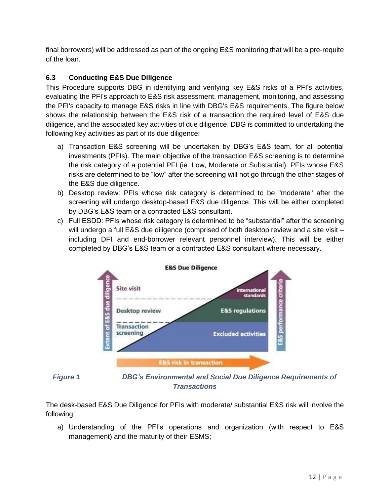final borrowers) will be addressed as part of the ongoing E&S monitoring that will be a pre-requite of the loan.

# **6.3 Conducting E&S Due Diligence**

This Procedure supports DBG in identifying and verifying key E&S risks of a PFI's activities, evaluating the PFI's approach to E&S risk assessment, management, monitoring, and assessing the PFI's capacity to manage E&S risks in line with DBG's E&S requirements. The figure below shows the relationship between the E&S risk of a transaction the required level of E&S due diligence, and the associated key activities of due diligence. DBG is committed to undertaking the following key activities as part of its due diligence:

- a) Transaction E&S screening will be undertaken by DBG's E&S team, for all potential investments (PFIs). The main objective of the transaction E&S screening is to determine the risk category of a potential PFI (ie. Low, Moderate or Substantial). PFIs whose E&S risks are determined to be "low" after the screening will not go through the other stages of the E&S due diligence.
- b) Desktop review: PFIs whose risk category is determined to be "moderate" after the screening will undergo desktop-based E&S due diligence. This will be either completed by DBG's E&S team or a contracted E&S consultant.
- c) Full ESDD: PFIs whose risk category is determined to be "substantial" after the screening will undergo a full E&S due diligence (comprised of both desktop review and a site visit – including DFI and end-borrower relevant personnel interview). This will be either completed by DBG's E&S team or a contracted E&S consultant where necessary.





*Figure 1 DBG's Environmental and Social Due Diligence Requirements of Transactions*

The desk-based E&S Due Diligence for PFIs with moderate/ substantial E&S risk will involve the following:

a) Understanding of the PFI's operations and organization (with respect to E&S management) and the maturity of their ESMS;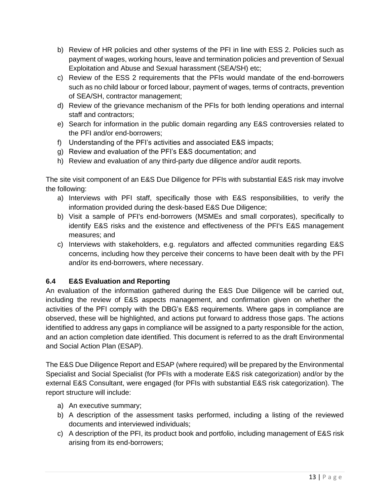- b) Review of HR policies and other systems of the PFI in line with ESS 2. Policies such as payment of wages, working hours, leave and termination policies and prevention of Sexual Exploitation and Abuse and Sexual harassment (SEA/SH) etc;
- c) Review of the ESS 2 requirements that the PFIs would mandate of the end-borrowers such as no child labour or forced labour, payment of wages, terms of contracts, prevention of SEA/SH, contractor management;
- d) Review of the grievance mechanism of the PFIs for both lending operations and internal staff and contractors;
- e) Search for information in the public domain regarding any E&S controversies related to the PFI and/or end-borrowers;
- f) Understanding of the PFI's activities and associated E&S impacts;
- g) Review and evaluation of the PFI's E&S documentation; and
- h) Review and evaluation of any third-party due diligence and/or audit reports.

The site visit component of an E&S Due Diligence for PFIs with substantial E&S risk may involve the following:

- a) Interviews with PFI staff, specifically those with E&S responsibilities, to verify the information provided during the desk-based E&S Due Diligence;
- b) Visit a sample of PFI's end-borrowers (MSMEs and small corporates), specifically to identify E&S risks and the existence and effectiveness of the PFI's E&S management measures; and
- c) Interviews with stakeholders, e.g. regulators and affected communities regarding E&S concerns, including how they perceive their concerns to have been dealt with by the PFI and/or its end-borrowers, where necessary.

# **6.4 E&S Evaluation and Reporting**

An evaluation of the information gathered during the E&S Due Diligence will be carried out, including the review of E&S aspects management, and confirmation given on whether the activities of the PFI comply with the DBG's E&S requirements. Where gaps in compliance are observed, these will be highlighted, and actions put forward to address those gaps. The actions identified to address any gaps in compliance will be assigned to a party responsible for the action, and an action completion date identified. This document is referred to as the draft Environmental and Social Action Plan (ESAP).

The E&S Due Diligence Report and ESAP (where required) will be prepared by the Environmental Specialist and Social Specialist (for PFIs with a moderate E&S risk categorization) and/or by the external E&S Consultant, were engaged (for PFIs with substantial E&S risk categorization). The report structure will include:

- a) An executive summary;
- b) A description of the assessment tasks performed, including a listing of the reviewed documents and interviewed individuals;
- c) A description of the PFI, its product book and portfolio, including management of E&S risk arising from its end-borrowers;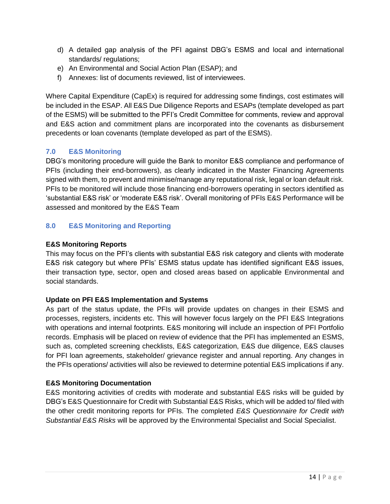- d) A detailed gap analysis of the PFI against DBG's ESMS and local and international standards/ regulations;
- e) An Environmental and Social Action Plan (ESAP); and
- f) Annexes: list of documents reviewed, list of interviewees.

Where Capital Expenditure (CapEx) is required for addressing some findings, cost estimates will be included in the ESAP. All E&S Due Diligence Reports and ESAPs (template developed as part of the ESMS) will be submitted to the PFI's Credit Committee for comments, review and approval and E&S action and commitment plans are incorporated into the covenants as disbursement precedents or loan covenants (template developed as part of the ESMS).

# **7.0 E&S Monitoring**

DBG's monitoring procedure will guide the Bank to monitor E&S compliance and performance of PFIs (including their end-borrowers), as clearly indicated in the Master Financing Agreements signed with them, to prevent and minimise/manage any reputational risk, legal or loan default risk. PFIs to be monitored will include those financing end-borrowers operating in sectors identified as 'substantial E&S risk' or 'moderate E&S risk'. Overall monitoring of PFIs E&S Performance will be assessed and monitored by the E&S Team

# **8.0 E&S Monitoring and Reporting**

# **E&S Monitoring Reports**

This may focus on the PFI's clients with substantial E&S risk category and clients with moderate E&S risk category but where PFIs' ESMS status update has identified significant E&S issues, their transaction type, sector, open and closed areas based on applicable Environmental and social standards.

#### **Update on PFI E&S Implementation and Systems**

As part of the status update, the PFIs will provide updates on changes in their ESMS and processes, registers, incidents etc. This will however focus largely on the PFI E&S Integrations with operations and internal footprints. E&S monitoring will include an inspection of PFI Portfolio records. Emphasis will be placed on review of evidence that the PFI has implemented an ESMS, such as, completed screening checklists, E&S categorization, E&S due diligence, E&S clauses for PFI loan agreements, stakeholder/ grievance register and annual reporting. Any changes in the PFIs operations/ activities will also be reviewed to determine potential E&S implications if any.

# **E&S Monitoring Documentation**

E&S monitoring activities of credits with moderate and substantial E&S risks will be guided by DBG's E&S Questionnaire for Credit with Substantial E&S Risks, which will be added to/ filed with the other credit monitoring reports for PFIs. The completed *E&S Questionnaire for Credit with Substantial E&S Risks* will be approved by the Environmental Specialist and Social Specialist.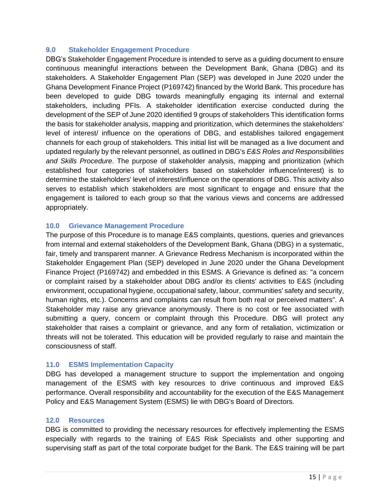#### **9.0 Stakeholder Engagement Procedure**

DBG's Stakeholder Engagement Procedure is intended to serve as a guiding document to ensure continuous meaningful interactions between the Development Bank, Ghana (DBG) and its stakeholders. A Stakeholder Engagement Plan (SEP) was developed in June 2020 under the Ghana Development Finance Project (P169742) financed by the World Bank. This procedure has been developed to guide DBG towards meaningfully engaging its internal and external stakeholders, including PFIs. A stakeholder identification exercise conducted during the development of the SEP of June 2020 identified 9 groups of stakeholders This identification forms the basis for stakeholder analysis, mapping and prioritization, which determines the stakeholders' level of interest/ influence on the operations of DBG, and establishes tailored engagement channels for each group of stakeholders. This initial list will be managed as a live document and updated regularly by the relevant personnel, as outlined in DBG's *E&S Roles and Responsibilities and Skills Procedure*. The purpose of stakeholder analysis, mapping and prioritization (which established four categories of stakeholders based on stakeholder influence/interest) is to determine the stakeholders' level of interest/influence on the operations of DBG. This activity also serves to establish which stakeholders are most significant to engage and ensure that the engagement is tailored to each group so that the various views and concerns are addressed appropriately.

#### **10.0 Grievance Management Procedure**

The purpose of this Procedure is to manage E&S complaints, questions, queries and grievances from internal and external stakeholders of the Development Bank, Ghana (DBG) in a systematic, fair, timely and transparent manner. A Grievance Redress Mechanism is incorporated within the Stakeholder Engagement Plan (SEP) developed in June 2020 under the Ghana Development Finance Project (P169742) and embedded in this ESMS. A Grievance is defined as: "a concern or complaint raised by a stakeholder about DBG and/or its clients' activities to E&S (including environment, occupational hygiene, occupational safety, labour, communities' safety and security, human rights, etc.). Concerns and complaints can result from both real or perceived matters". A Stakeholder may raise any grievance anonymously. There is no cost or fee associated with submitting a query, concern or complaint through this Procedure. DBG will protect any stakeholder that raises a complaint or grievance, and any form of retaliation, victimization or threats will not be tolerated. This education will be provided regularly to raise and maintain the consciousness of staff.

# **11.0 ESMS Implementation Capacity**

DBG has developed a management structure to support the implementation and ongoing management of the ESMS with key resources to drive continuous and improved E&S performance. Overall responsibility and accountability for the execution of the E&S Management Policy and E&S Management System (ESMS) lie with DBG's Board of Directors.

#### **12.0 Resources**

DBG is committed to providing the necessary resources for effectively implementing the ESMS especially with regards to the training of E&S Risk Specialists and other supporting and supervising staff as part of the total corporate budget for the Bank. The E&S training will be part